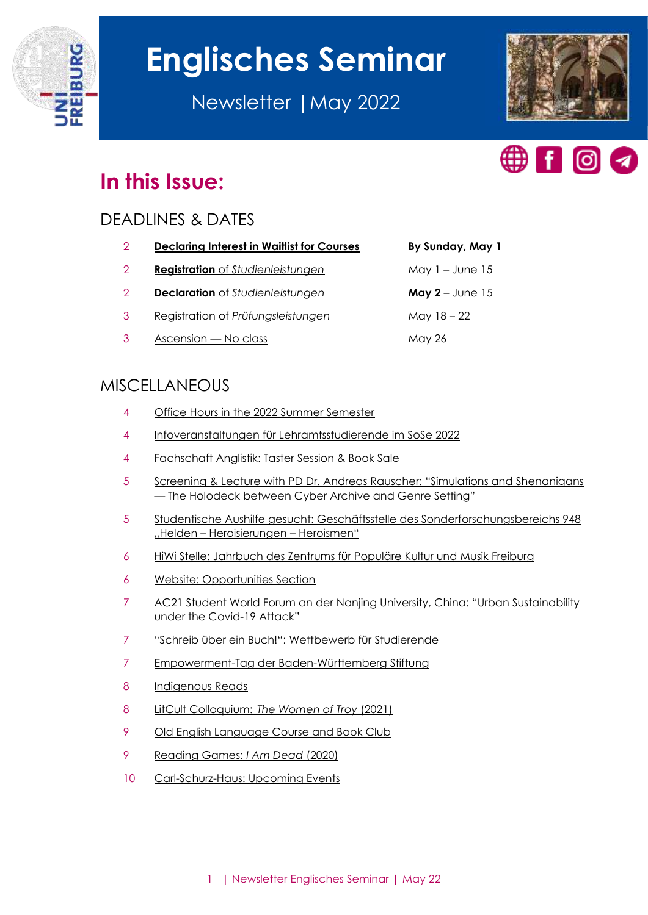

# **Englisches Seminar**

Newsletter |May 2022





## **In this Issue:**

## DEADLINES & DATES

| <b>Declaring Interest in Waitlist for Courses</b> | By Sunday, May 1    |
|---------------------------------------------------|---------------------|
| <b>Registration</b> of Studienleistungen          | May $1 -$ June $15$ |

- **Declaration** of *[Studienleistungen](#page-1-2)* **May 2** June 15
- Registration of *[Prüfungsleistungen](#page-2-0)* May 18 22
- [Ascension](#page-2-1)  No class May 26

## MISCELLANEOUS

- [Office Hours in the 2022 Summer Semester](#page-3-0)
- [Infoveranstaltungen für Lehramtsstudierende im SoSe 2022](#page-3-1)
- [Fachschaft Anglistik: Taster Session & Book Sale](#page-4-0)
- [Screening & Lecture with PD Dr. Andreas Rauscher: "Simulations and Shenanigans](#page-4-1) — [The Holodeck between Cyber Archive and Genre Setting"](#page-4-1)
- [Studentische Aushilfe gesucht: Geschäftsstelle des Sonderforschungsbereichs 948](#page-4-2)  "Helden – [Heroisierungen](#page-4-2) – Heroismen"
- [HiWi Stelle: Jahrbuch des Zentrums für Populäre Kultur und Musik Freiburg](#page-5-0)
- [Website: Opportunities Section](#page-5-1)
- [AC21 Student World Forum an der Nanjing University, China: "Urban Sustainability](#page-6-0)  [under the Covid-](#page-6-0)19 Attack"
- ["Schreib über ein Buch!": Wettbewerb für](#page-6-1) Studierende
- [Empowerment-Tag der Baden-Württemberg Stiftung](#page-6-2)
- [Indigenous Reads](#page-7-0)
- LitCult Colloquium: *[The Women of Troy](#page-7-1)* (2021)
- [Old English Language Course and Book Club](#page-8-0)
- [Reading Games:](#page-8-1) *I Am Dead* (2020)
- [Carl-Schurz-Haus: Upcoming Events](#page-9-0)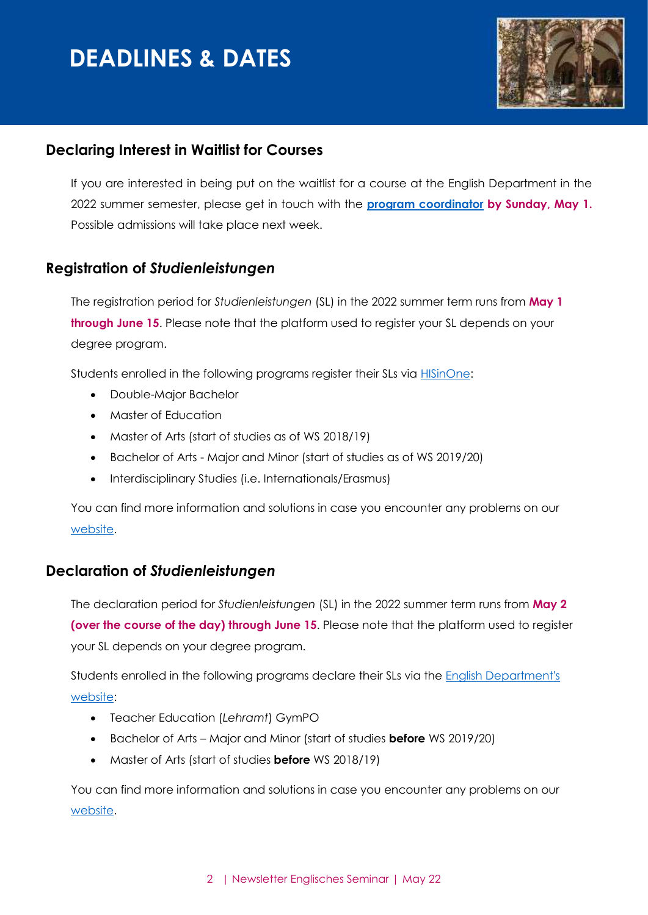## **DEADLINES & DATES**



### <span id="page-1-0"></span>**Declaring Interest in Waitlist for Courses**

If you are interested in being put on the waitlist for a course at the English Department in the 2022 summer semester, please get in touch with the **[program coordinator](mailto:studienkoordination@anglistik.uni-freiburg.de) by Sunday, May 1.**  Possible admissions will take place next week.

## <span id="page-1-1"></span>**Registration of** *Studienleistungen*

The registration period for *Studienleistungen* (SL) in the 2022 summer term runs from **May 1 through June 15**. Please note that the platform used to register your SL depends on your degree program.

Students enrolled in the following programs register their SLs via **HISinOne:** 

- Double-Major Bachelor
- Master of Education
- Master of Arts (start of studies as of WS 2018/19)
- Bachelor of Arts Major and Minor (start of studies as of WS 2019/20)
- Interdisciplinary Studies (i.e. Internationals/Erasmus)

You can find more information and solutions in case you encounter any problems on our [website.](https://www.anglistik.uni-freiburg.de/currentstudents/psl?set_language=en)

#### <span id="page-1-2"></span>**Declaration of** *Studienleistungen*

The declaration period for *Studienleistungen* (SL) in the 2022 summer term runs from **May 2 (over the course of the day) through June 15**. Please note that the platform used to register your SL depends on your degree program.

Students enrolled in the following programs declare their SLs via the English Department's [website:](https://www.anglistik.uni-freiburg.de/studiumlehre/psl/deklarationsportal)

- Teacher Education (*Lehramt*) GymPO
- Bachelor of Arts Major and Minor (start of studies **before** WS 2019/20)
- Master of Arts (start of studies **before** WS 2018/19)

You can find more information and solutions in case you encounter any problems on our [website.](https://www.anglistik.uni-freiburg.de/currentstudents/psl?set_language=en)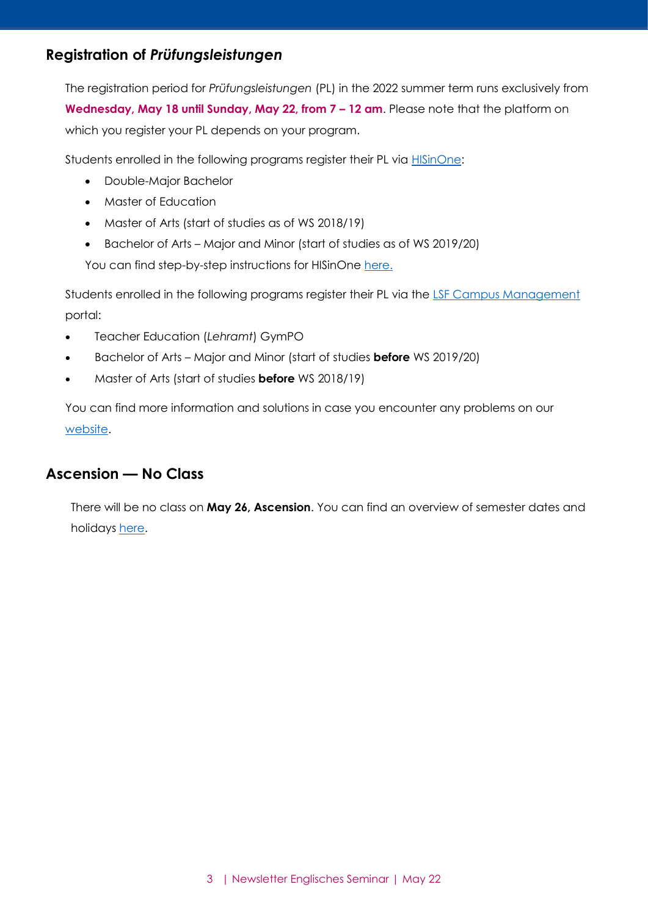## <span id="page-2-0"></span>**Registration of** *Prüfungsleistungen*

The registration period for *Prüfungsleistungen* (PL) in the 2022 summer term runs exclusively from **Wednesday, May 18 until Sunday, May 22, from 7 – 12 am**. Please note that the platform on which you register your PL depends on your program.

Students enrolled in the following programs register their PL via **HISinOne**:

- Double-Major Bachelor
- Master of Education
- Master of Arts (start of studies as of WS 2018/19)
- Bachelor of Arts Major and Minor (start of studies as of WS 2019/20)

You can find step-by-step instructions for HISinOne [here.](https://wiki.uni-freiburg.de/campusmanagement/doku.php?id=hisinone:studieren:pruefung_en)

Students enrolled in the following programs register their PL via the [LSF Campus Management](https://www.verwaltung.uni-freiburg.de/lsfserver/rds?state=user&type=0) portal:

- Teacher Education (*Lehramt*) GymPO
- Bachelor of Arts Major and Minor (start of studies **before** WS 2019/20)
- Master of Arts (start of studies **before** WS 2018/19)

You can find more information and solutions in case you encounter any problems on our [website.](https://www.anglistik.uni-freiburg.de/currentstudents/psl?set_language=en)

## <span id="page-2-1"></span>**Ascension — No Class**

There will be no class on **May 26, Ascension**. You can find an overview of semester dates and holidays [here.](https://www.studium.uni-freiburg.de/en/dates-deadlines-events/semester-dates-and-teaching-periods?set_language=en)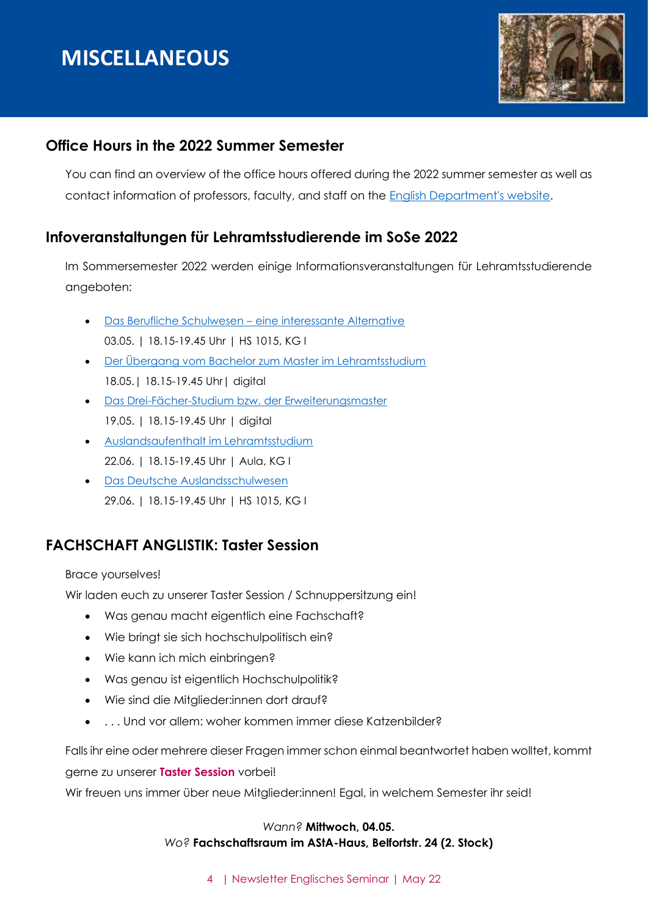## **MISCELLANEOUS**



## <span id="page-3-0"></span>**Office Hours in the 2022 Summer Semester**

You can find an overview of the office hours offered during the 2022 summer semester as well as contact information of professors, faculty, and staff on the [English Department's website.](https://www.anglistik.uni-freiburg.de/department/office-hours?set_language=en)

## <span id="page-3-1"></span>**Infoveranstaltungen für Lehramtsstudierende im SoSe 2022**

Im Sommersemester 2022 werden einige Informationsveranstaltungen für Lehramtsstudierende angeboten:

- Das Berufliche Schulwesen [eine interessante Alternative](https://www.face-freiburg.de/veranstaltungen/das-berufliche-schulwesen-2/) 03.05. | 18.15-19.45 Uhr | HS 1015, KG I
- [Der Übergang vom Bachelor zum Master im Lehramtsstudium](https://www.face-freiburg.de/veranstaltungen/informationsveranstaltung-der-uebergang-vom-bachelor-zum-master-im-lehramtsstudium/) 18.05.| 18.15-19.45 Uhr| digital
- [Das Drei-Fächer-Studium bzw. der Erweiterungsmaster](https://www.face-freiburg.de/veranstaltungen/infoveranstaltung-das-drei-faecher-studium-bzw-der-erweiterungsmaster/) 19.05. | 18.15-19.45 Uhr | digital
- [Auslandsaufenthalt im Lehramtsstudium](https://www.face-freiburg.de/veranstaltungen/infoveranstaltung-auslandsaufenthalt-im-lehramtsstudium-3/) 22.06. | 18.15-19.45 Uhr | Aula, KG I
- [Das Deutsche Auslandsschulwesen](https://www.face-freiburg.de/veranstaltungen/infoveranstaltung-das-deutsche-auslandsschulwesen-2/) 29.06. | 18.15-19.45 Uhr | HS 1015, KG I

## **FACHSCHAFT ANGLISTIK: Taster Session**

Brace yourselves!

Wir laden euch zu unserer Taster Session / Schnuppersitzung ein!

- Was genau macht eigentlich eine Fachschaft?
- Wie bringt sie sich hochschulpolitisch ein?
- Wie kann ich mich einbringen?
- Was genau ist eigentlich Hochschulpolitik?
- Wie sind die Mitglieder:innen dort drauf?
- . . . Und vor allem: woher kommen immer diese Katzenbilder?

Falls ihr eine oder mehrere dieser Fragen immer schon einmal beantwortet haben wolltet, kommt gerne zu unserer **Taster Session** vorbei!

Wir freuen uns immer über neue Mitglieder:innen! Egal, in welchem Semester ihr seid!

#### *Wann?* **Mittwoch, 04.05.** *Wo?* **Fachschaftsraum im AStA-Haus, Belfortstr. 24 (2. Stock)**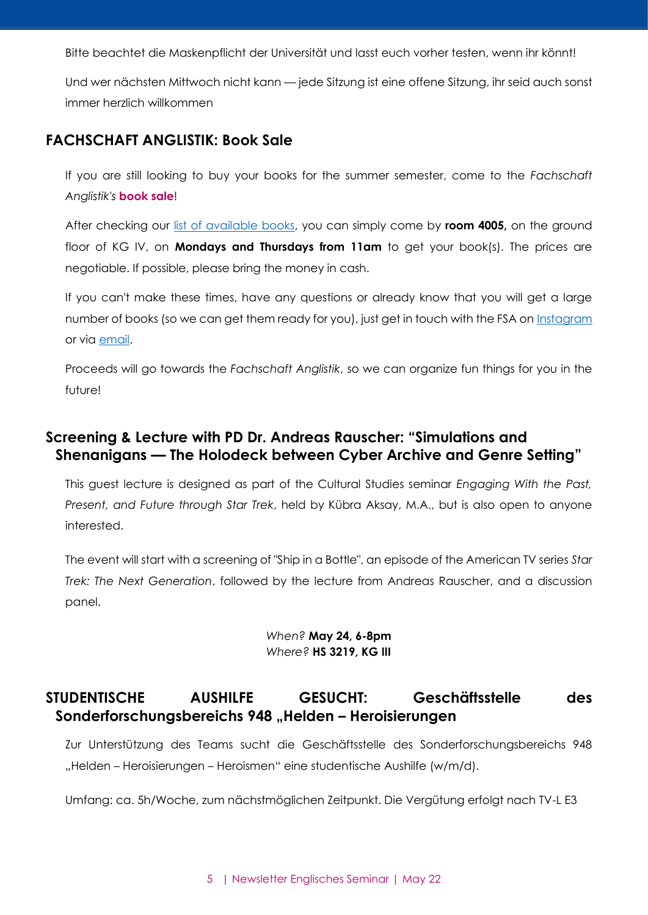Bitte beachtet die Maskenpflicht der Universität und lasst euch vorher testen, wenn ihr könnt!

Und wer nächsten Mittwoch nicht kann — jede Sitzung ist eine offene Sitzung, ihr seid auch sonst immer herzlich willkommen

#### <span id="page-4-0"></span>**FACHSCHAFT ANGLISTIK: Book Sale**

If you are still looking to buy your books for the summer semester, come to the *Fachschaft Anglistik's* **book sale**!

After checking our [list of available books,](https://www.anglistik.uni-freiburg.de/fachschaft/FSA_Book_Sale_Inventory.pdf) you can simply come by **room 4005,** on the ground floor of KG IV, on **Mondays and Thursdays from 11am** to get your book(s). The prices are negotiable. If possible, please bring the money in cash.

If you can't make these times, have any questions or already know that you will get a large number of books (so we can get them ready for you), just get in touch with the FSA on [Instagram](https://www.anglistik.uni-freiburg.de/data/fachschaft-instagram) or via [email.](https://www.anglistik.uni-freiburg.de/data/fachschaft-contact)

Proceeds will go towards the *Fachschaft Anglistik*, so we can organize fun things for you in the future!

## <span id="page-4-1"></span>**Screening & Lecture with PD Dr. Andreas Rauscher: "Simulations and Shenanigans — The Holodeck between Cyber Archive and Genre Setting"**

This guest lecture is designed as part of the Cultural Studies seminar *Engaging With the Past, Present, and Future through Star Trek*, held by Kübra Aksay, M.A., but is also open to anyone interested.

The event will start with a screening of "Ship in a Bottle", an episode of the American TV series *Star Trek: The Next Generation*, followed by the lecture from Andreas Rauscher, and a discussion panel.

#### *When?* **May 24, 6-8pm** *Where?* **HS 3219, KG III**

## <span id="page-4-2"></span>**STUDENTISCHE AUSHILFE GESUCHT: Geschäftsstelle des Sonderforschungsbereichs 948 "Helden – Heroisierungen**

Zur Unterstützung des Teams sucht die Geschäftsstelle des Sonderforschungsbereichs 948 "Helden – Heroisierungen – Heroismen" eine studentische Aushilfe (w/m/d).

Umfang: ca. 5h/Woche, zum nächstmöglichen Zeitpunkt. Die Vergütung erfolgt nach TV-L E3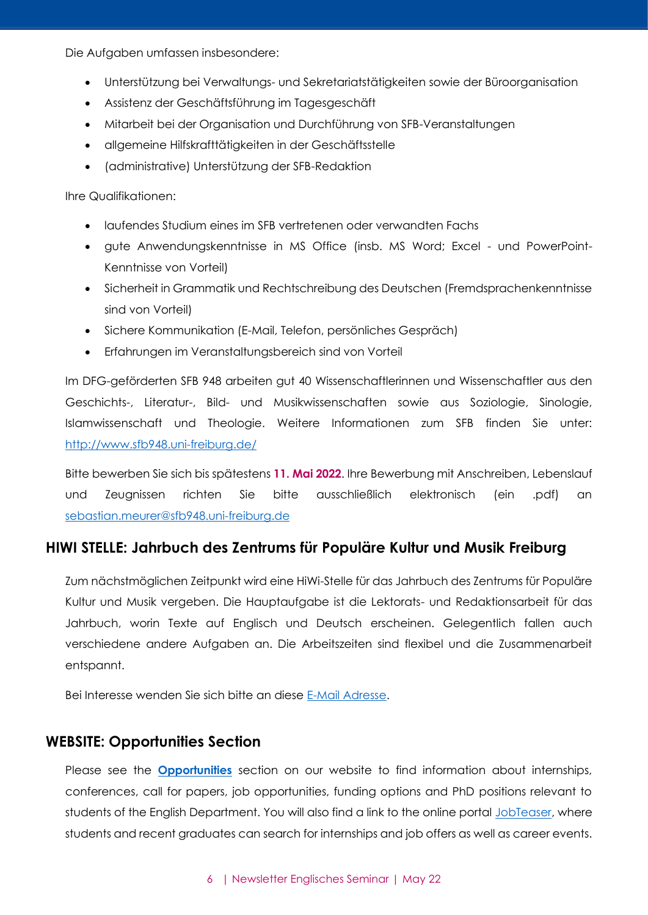Die Aufgaben umfassen insbesondere:

- Unterstützung bei Verwaltungs- und Sekretariatstätigkeiten sowie der Büroorganisation
- Assistenz der Geschäftsführung im Tagesgeschäft
- Mitarbeit bei der Organisation und Durchführung von SFB-Veranstaltungen
- allgemeine Hilfskrafttätigkeiten in der Geschäftsstelle
- (administrative) Unterstützung der SFB-Redaktion

Ihre Qualifikationen:

- laufendes Studium eines im SFB vertretenen oder verwandten Fachs
- gute Anwendungskenntnisse in MS Office (insb. MS Word; Excel und PowerPoint-Kenntnisse von Vorteil)
- Sicherheit in Grammatik und Rechtschreibung des Deutschen (Fremdsprachenkenntnisse sind von Vorteil)
- Sichere Kommunikation (E-Mail, Telefon, persönliches Gespräch)
- Erfahrungen im Veranstaltungsbereich sind von Vorteil

Im DFG-geförderten SFB 948 arbeiten gut 40 Wissenschaftlerinnen und Wissenschaftler aus den Geschichts-, Literatur-, Bild- und Musikwissenschaften sowie aus Soziologie, Sinologie, Islamwissenschaft und Theologie. Weitere Informationen zum SFB finden Sie unter: <http://www.sfb948.uni-freiburg.de/>

Bitte bewerben Sie sich bis spätestens **11. Mai 2022**. Ihre Bewerbung mit Anschreiben, Lebenslauf und Zeugnissen richten Sie bitte ausschließlich elektronisch (ein .pdf) an [sebastian.meurer@sfb948.uni-freiburg.de](mailto:sebastian.meurer@sfb948.uni-freiburg.de)

## <span id="page-5-0"></span>**HIWI STELLE: Jahrbuch des Zentrums für Populäre Kultur und Musik Freiburg**

Zum nächstmöglichen Zeitpunkt wird eine HiWi-Stelle für das Jahrbuch des Zentrums für Populäre Kultur und Musik vergeben. Die Hauptaufgabe ist die Lektorats- und Redaktionsarbeit für das Jahrbuch, worin Texte auf Englisch und Deutsch erscheinen. Gelegentlich fallen auch verschiedene andere Aufgaben an. Die Arbeitszeiten sind flexibel und die Zusammenarbeit entspannt.

Bei Interesse wenden Sie sich bitte an diese [E-Mail Adresse.](mailto:Sophie.aurelie@gmx.de)

#### <span id="page-5-1"></span>**WEBSITE: Opportunities Section**

Please see the **[Opportunities](https://www.anglistik.uni-freiburg.de/opportunities-1?set_language=en)** section on our website to find information about internships, conferences, call for papers, job opportunities, funding options and PhD positions relevant to students of the English Department. You will also find a link to the online portal [JobTeaser,](http://www.jobteaser.com/) where students and recent graduates can search for internships and job offers as well as career events.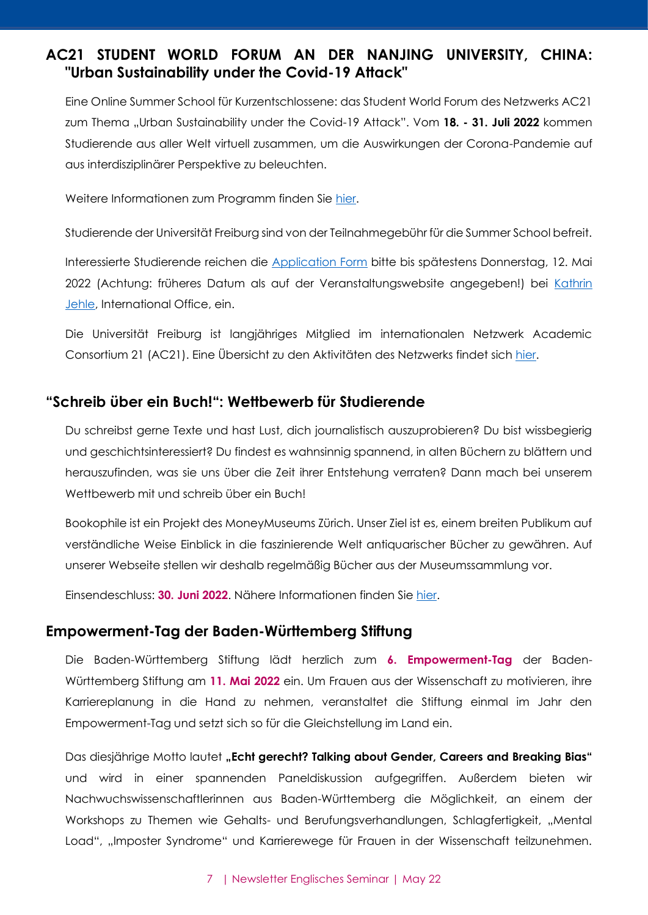## <span id="page-6-0"></span>**AC21 STUDENT WORLD FORUM AN DER NANJING UNIVERSITY, CHINA: "Urban Sustainability under the Covid-19 Attack"**

Eine Online Summer School für Kurzentschlossene: das Student World Forum des Netzwerks AC21 zum Thema "Urban Sustainability under the Covid-19 Attack". Vom 18. - 31. Juli 2022 kommen Studierende aus aller Welt virtuell zusammen, um die Auswirkungen der Corona-Pandemie auf aus interdisziplinärer Perspektive zu beleuchten.

Weitere Informationen zum Programm finden Sie [hier.](http://www.ac21.org/activities/student-world-forum/student-world-forum-2022)

Studierende der Universität Freiburg sind von der Teilnahmegebühr für die Summer School befreit.

Interessierte Studierende reichen die [Application Form](http://www.ac21.org/activities/student-world-forum/student-world-forum-2022) bitte bis spätestens Donnerstag, 12. Mai 2022 (Achtung: früheres Datum als auf der Veranstaltungswebsite angegeben!) bei [Kathrin](mailto:kathrin.jehle@io.uni-freiburg.de)  [Jehle,](mailto:kathrin.jehle@io.uni-freiburg.de) International Office, ein.

Die Universität Freiburg ist langjähriges Mitglied im internationalen Netzwerk Academic Consortium 21 (AC21). Eine Übersicht zu den Aktivitäten des Netzwerks findet sich [hier.](http://www.ac21.org/about-ac21)

#### <span id="page-6-1"></span>**"Schreib über ein Buch!": Wettbewerb für Studierende**

Du schreibst gerne Texte und hast Lust, dich journalistisch auszuprobieren? Du bist wissbegierig und geschichtsinteressiert? Du findest es wahnsinnig spannend, in alten Büchern zu blättern und herauszufinden, was sie uns über die Zeit ihrer Entstehung verraten? Dann mach bei unserem Wettbewerb mit und schreib über ein Buch!

Bookophile ist ein Projekt des MoneyMuseums Zürich. Unser Ziel ist es, einem breiten Publikum auf verständliche Weise Einblick in die faszinierende Welt antiquarischer Bücher zu gewähren. Auf unserer Webseite stellen wir deshalb regelmäßig Bücher aus der Museumssammlung vor.

Einsendeschluss: **30. Juni 2022**. Nähere Informationen finden Sie [hier.](https://www.anglistik.uni-freiburg.de/opportunities/Schreib%20ueber%20ein%20Buch%20-%20Wettbewerb.pdf)

#### <span id="page-6-2"></span>**Empowerment-Tag der Baden-Württemberg Stiftung**

Die Baden-Württemberg Stiftung lädt herzlich zum **6. Empowerment-Tag** der Baden-Württemberg Stiftung am **11. Mai 2022** ein. Um Frauen aus der Wissenschaft zu motivieren, ihre Karriereplanung in die Hand zu nehmen, veranstaltet die Stiftung einmal im Jahr den Empowerment-Tag und setzt sich so für die Gleichstellung im Land ein.

Das diesjährige Motto lautet "Echt gerecht? Talking about Gender, Careers and Breaking Bias" und wird in einer spannenden Paneldiskussion aufgegriffen. Außerdem bieten wir Nachwuchswissenschaftlerinnen aus Baden-Württemberg die Möglichkeit, an einem der Workshops zu Themen wie Gehalts- und Berufungsverhandlungen, Schlagfertigkeit, "Mental Load", "Imposter Syndrome" und Karrierewege für Frauen in der Wissenschaft teilzunehmen.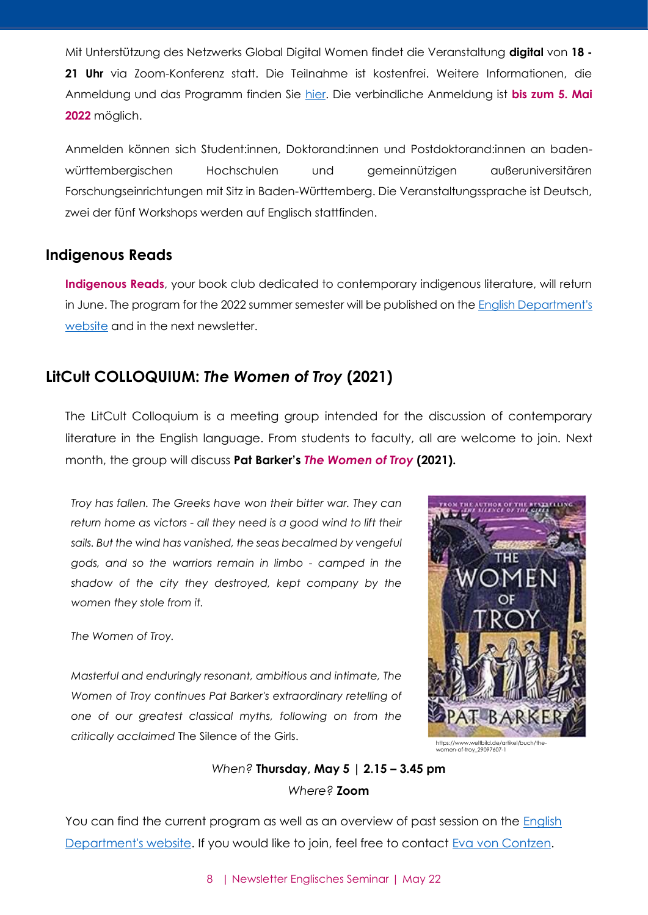Mit Unterstützung des Netzwerks Global Digital Women findet die Veranstaltung **digital** von **18 - 21 Uhr** via Zoom-Konferenz statt. Die Teilnahme ist kostenfrei. Weitere Informationen, die Anmeldung und das Programm finden Sie [hier.](https://www.eventbrite.de/e/empowerment-tag-2022-der-baden-wurttemberg-stiftung-registrierung-305835300617) Die verbindliche Anmeldung ist **bis zum 5. Mai 2022** möglich.

Anmelden können sich Student:innen, Doktorand:innen und Postdoktorand:innen an badenwürttembergischen Hochschulen und gemeinnützigen außeruniversitären Forschungseinrichtungen mit Sitz in Baden-Württemberg. Die Veranstaltungssprache ist Deutsch, zwei der fünf Workshops werden auf Englisch stattfinden.

#### <span id="page-7-0"></span>**Indigenous Reads**

**Indigenous Reads**, your book club dedicated to contemporary indigenous literature, will return in June. The program for the 2022 summer semester will be published on the [English Department's](https://www.anglistik.uni-freiburg.de/readinggroups/indigenous-reads)  [website](https://www.anglistik.uni-freiburg.de/readinggroups/indigenous-reads) and in the next newsletter.

## <span id="page-7-1"></span>**LitCult COLLOQUIUM:** *The Women of Troy* **(2021)**

The LitCult Colloquium is a meeting group intended for the discussion of contemporary literature in the English language. From students to faculty, all are welcome to join. Next month, the group will discuss **Pat Barker's** *The Women of Troy* **(2021).**

*Troy has fallen. The Greeks have won their bitter war. They can return home as victors - all they need is a good wind to lift their sails. But the wind has vanished, the seas becalmed by vengeful gods, and so the warriors remain in limbo - camped in the shadow of the city they destroyed, kept company by the women they stole from it.*

*The Women of Troy.*

*Masterful and enduringly resonant, ambitious and intimate, The Women of Troy continues Pat Barker's extraordinary retelling of one of our greatest classical myths, following on from the critically acclaimed* The Silence of the Girls.



n-of-troy\_29097607-1,

## *When?* **Thursday, May 5 | 2.15 – 3.45 pm** *Where?* **Zoom**

You can find the current program as well as an overview of past session on the English [Department's website.](https://www.anglistik.uni-freiburg.de/readinggroups/litcult-colloquium) If you would like to join, feel free to contact [Eva von Contzen.](mailto:eva.voncontzen@anglistik.uni-freiburg.de)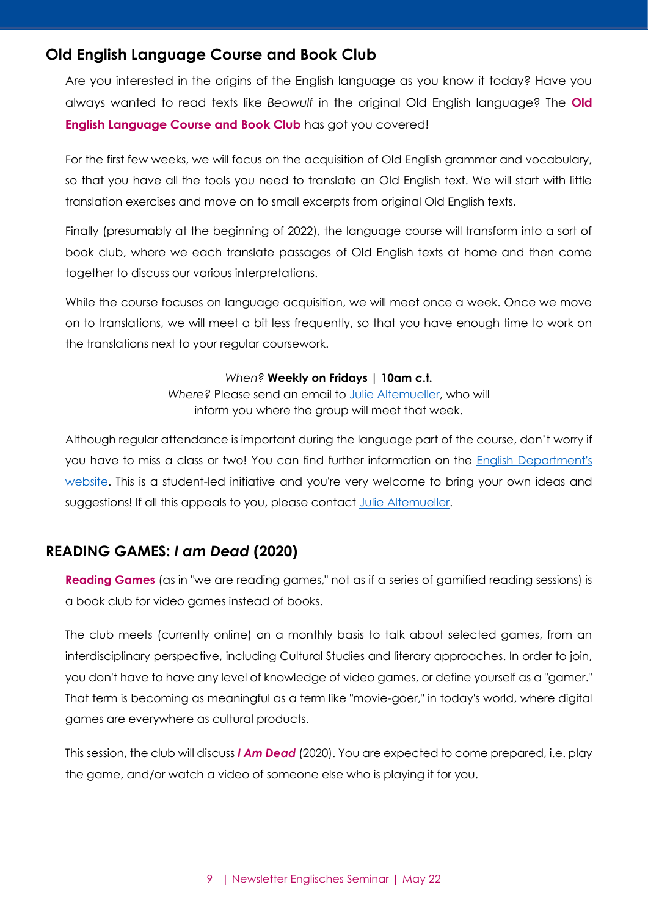## <span id="page-8-0"></span>**Old English Language Course and Book Club**

Are you interested in the origins of the English language as you know it today? Have you always wanted to read texts like *Beowulf* in the original Old English language? The **Old English Language Course and Book Club** has got you covered!

For the first few weeks, we will focus on the acquisition of Old English grammar and vocabulary, so that you have all the tools you need to translate an Old English text. We will start with little translation exercises and move on to small excerpts from original Old English texts.

Finally (presumably at the beginning of 2022), the language course will transform into a sort of book club, where we each translate passages of Old English texts at home and then come together to discuss our various interpretations.

While the course focuses on language acquisition, we will meet once a week. Once we move on to translations, we will meet a bit less frequently, so that you have enough time to work on the translations next to your regular coursework.

#### *When?* **Weekly on Fridays | 10am c.t.**

*Where?* Please send an email to [Julie Altemueller,](mailto:julie.altemueller@gmail.com) who will inform you where the group will meet that week.

Although regular attendance is important during the language part of the course, don't worry if you have to miss a class or two! You can find further information on the [English Department's](https://www.anglistik.uni-freiburg.de/readinggroups/old-english-book-club)  [website.](https://www.anglistik.uni-freiburg.de/readinggroups/old-english-book-club) This is a student-led initiative and you're very welcome to bring your own ideas and suggestions! If all this appeals to you, please contact [Julie Altemueller.](mailto:julie.altemueller@gmail.com)

## <span id="page-8-1"></span>**READING GAMES:** *I am Dead* **(2020)**

**Reading Games** (as in "we are reading games," not as if a series of gamified reading sessions) is a book club for video games instead of books.

The club meets (currently online) on a monthly basis to talk about selected games, from an interdisciplinary perspective, including Cultural Studies and literary approaches. In order to join, you don't have to have any level of knowledge of video games, or define yourself as a "gamer." That term is becoming as meaningful as a term like "movie-goer," in today's world, where digital games are everywhere as cultural products.

This session, the club will discuss *I Am Dead* (2020). You are expected to come prepared, i.e. play the game, and/or watch a video of someone else who is playing it for you.